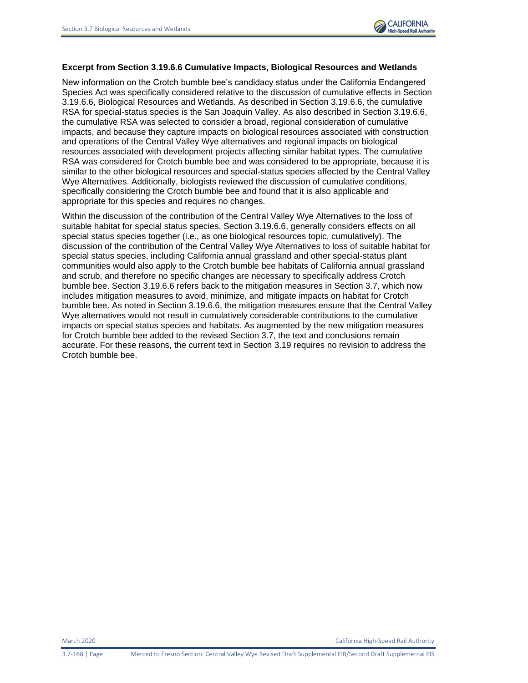## **Excerpt from Section 3.19.6.6 Cumulative Impacts, Biological Resources and Wetlands**

New information on the Crotch bumble bee's candidacy status under the California Endangered Species Act was specifically considered relative to the discussion of cumulative effects in Section 3.19.6.6, Biological Resources and Wetlands. As described in Section 3.19.6.6, the cumulative RSA for special-status species is the San Joaquin Valley. As also described in Section 3.19.6.6, the cumulative RSA was selected to consider a broad, regional consideration of cumulative impacts, and because they capture impacts on biological resources associated with construction and operations of the Central Valley Wye alternatives and regional impacts on biological resources associated with development projects affecting similar habitat types. The cumulative RSA was considered for Crotch bumble bee and was considered to be appropriate, because it is similar to the other biological resources and special-status species affected by the Central Valley Wye Alternatives. Additionally, biologists reviewed the discussion of cumulative conditions, specifically considering the Crotch bumble bee and found that it is also applicable and appropriate for this species and requires no changes.

Within the discussion of the contribution of the Central Valley Wye Alternatives to the loss of suitable habitat for special status species, Section 3.19.6.6, generally considers effects on all special status species together (i.e., as one biological resources topic, cumulatively). The discussion of the contribution of the Central Valley Wye Alternatives to loss of suitable habitat for special status species, including California annual grassland and other special-status plant communities would also apply to the Crotch bumble bee habitats of California annual grassland and scrub, and therefore no specific changes are necessary to specifically address Crotch bumble bee. Section 3.19.6.6 refers back to the mitigation measures in Section 3.7, which now includes mitigation measures to avoid, minimize, and mitigate impacts on habitat for Crotch bumble bee. As noted in Section 3.19.6.6, the mitigation measures ensure that the Central Valley Wye alternatives would not result in cumulatively considerable contributions to the cumulative impacts on special status species and habitats. As augmented by the new mitigation measures for Crotch bumble bee added to the revised Section 3.7, the text and conclusions remain accurate. For these reasons, the current text in Section 3.19 requires no revision to address the Crotch bumble bee.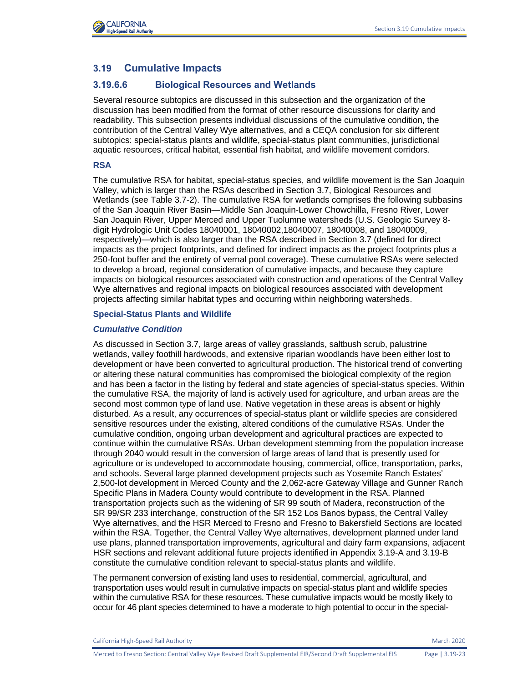

# **3.19 Cumulative Impacts**

# **3.19.6.6 Biological Resources and Wetlands**

Several resource subtopics are discussed in this subsection and the organization of the discussion has been modified from the format of other resource discussions for clarity and readability. This subsection presents individual discussions of the cumulative condition, the contribution of the Central Valley Wye alternatives, and a CEQA conclusion for six different subtopics: special-status plants and wildlife, special-status plant communities, jurisdictional aquatic resources, critical habitat, essential fish habitat, and wildlife movement corridors.

## **RSA**

The cumulative RSA for habitat, special-status species, and wildlife movement is the San Joaquin Valley, which is larger than the RSAs described in Section 3.7, Biological Resources and Wetlands (see Table 3.7-2). The cumulative RSA for wetlands comprises the following subbasins of the San Joaquin River Basin—Middle San Joaquin-Lower Chowchilla, Fresno River, Lower San Joaquin River, Upper Merced and Upper Tuolumne watersheds (U.S. Geologic Survey 8 digit Hydrologic Unit Codes 18040001, 18040002,18040007, 18040008, and 18040009, respectively)—which is also larger than the RSA described in Section 3.7 (defined for direct impacts as the project footprints, and defined for indirect impacts as the project footprints plus a 250-foot buffer and the entirety of vernal pool coverage). These cumulative RSAs were selected to develop a broad, regional consideration of cumulative impacts, and because they capture impacts on biological resources associated with construction and operations of the Central Valley Wye alternatives and regional impacts on biological resources associated with development projects affecting similar habitat types and occurring within neighboring watersheds.

### **Special-Status Plants and Wildlife**

## *Cumulative Condition*

As discussed in Section 3.7, large areas of valley grasslands, saltbush scrub, palustrine wetlands, valley foothill hardwoods, and extensive riparian woodlands have been either lost to development or have been converted to agricultural production. The historical trend of converting or altering these natural communities has compromised the biological complexity of the region and has been a factor in the listing by federal and state agencies of special-status species. Within the cumulative RSA, the majority of land is actively used for agriculture, and urban areas are the second most common type of land use. Native vegetation in these areas is absent or highly disturbed. As a result, any occurrences of special-status plant or wildlife species are considered sensitive resources under the existing, altered conditions of the cumulative RSAs. Under the cumulative condition, ongoing urban development and agricultural practices are expected to continue within the cumulative RSAs. Urban development stemming from the population increase through 2040 would result in the conversion of large areas of land that is presently used for agriculture or is undeveloped to accommodate housing, commercial, office, transportation, parks, and schools. Several large planned development projects such as Yosemite Ranch Estates' 2,500-lot development in Merced County and the 2,062-acre Gateway Village and Gunner Ranch Specific Plans in Madera County would contribute to development in the RSA. Planned transportation projects such as the widening of SR 99 south of Madera, reconstruction of the SR 99/SR 233 interchange, construction of the SR 152 Los Banos bypass, the Central Valley Wye alternatives, and the HSR Merced to Fresno and Fresno to Bakersfield Sections are located within the RSA. Together, the Central Valley Wye alternatives, development planned under land use plans, planned transportation improvements, agricultural and dairy farm expansions, adjacent HSR sections and relevant additional future projects identified in Appendix 3.19-A and 3.19-B constitute the cumulative condition relevant to special-status plants and wildlife.

The permanent conversion of existing land uses to residential, commercial, agricultural, and transportation uses would result in cumulative impacts on special-status plant and wildlife species within the cumulative RSA for these resources. These cumulative impacts would be mostly likely to occur for 46 plant species determined to have a moderate to high potential to occur in the special-

California High-Speed Rail Authority March 2020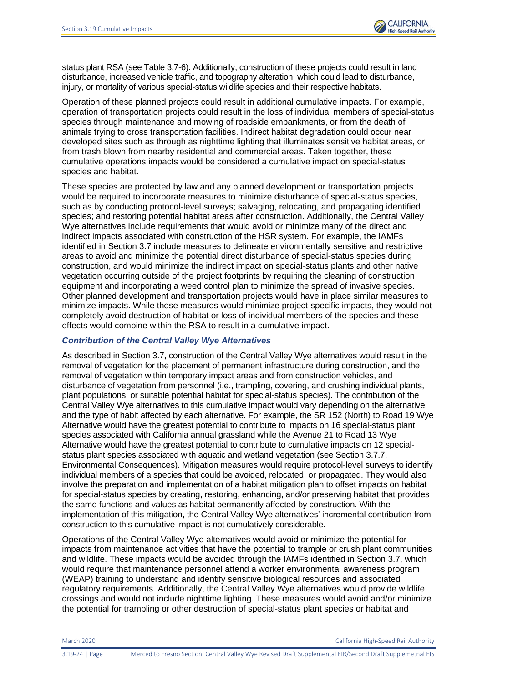status plant RSA (see Table 3.7-6). Additionally, construction of these projects could result in land disturbance, increased vehicle traffic, and topography alteration, which could lead to disturbance, injury, or mortality of various special-status wildlife species and their respective habitats.

Operation of these planned projects could result in additional cumulative impacts. For example, operation of transportation projects could result in the loss of individual members of special-status species through maintenance and mowing of roadside embankments, or from the death of animals trying to cross transportation facilities. Indirect habitat degradation could occur near developed sites such as through as nighttime lighting that illuminates sensitive habitat areas, or from trash blown from nearby residential and commercial areas. Taken together, these cumulative operations impacts would be considered a cumulative impact on special-status species and habitat.

These species are protected by law and any planned development or transportation projects would be required to incorporate measures to minimize disturbance of special-status species, such as by conducting protocol-level surveys; salvaging, relocating, and propagating identified species; and restoring potential habitat areas after construction. Additionally, the Central Valley Wye alternatives include requirements that would avoid or minimize many of the direct and indirect impacts associated with construction of the HSR system. For example, the IAMFs identified in Section 3.7 include measures to delineate environmentally sensitive and restrictive areas to avoid and minimize the potential direct disturbance of special-status species during construction, and would minimize the indirect impact on special-status plants and other native vegetation occurring outside of the project footprints by requiring the cleaning of construction equipment and incorporating a weed control plan to minimize the spread of invasive species. Other planned development and transportation projects would have in place similar measures to minimize impacts. While these measures would minimize project-specific impacts, they would not completely avoid destruction of habitat or loss of individual members of the species and these effects would combine within the RSA to result in a cumulative impact.

### *Contribution of the Central Valley Wye Alternatives*

As described in Section 3.7, construction of the Central Valley Wye alternatives would result in the removal of vegetation for the placement of permanent infrastructure during construction, and the removal of vegetation within temporary impact areas and from construction vehicles, and disturbance of vegetation from personnel (i.e., trampling, covering, and crushing individual plants, plant populations, or suitable potential habitat for special-status species). The contribution of the Central Valley Wye alternatives to this cumulative impact would vary depending on the alternative and the type of habit affected by each alternative. For example, the SR 152 (North) to Road 19 Wye Alternative would have the greatest potential to contribute to impacts on 16 special-status plant species associated with California annual grassland while the Avenue 21 to Road 13 Wye Alternative would have the greatest potential to contribute to cumulative impacts on 12 specialstatus plant species associated with aquatic and wetland vegetation (see Section 3.7.7, Environmental Consequences). Mitigation measures would require protocol-level surveys to identify individual members of a species that could be avoided, relocated, or propagated. They would also involve the preparation and implementation of a habitat mitigation plan to offset impacts on habitat for special-status species by creating, restoring, enhancing, and/or preserving habitat that provides the same functions and values as habitat permanently affected by construction. With the implementation of this mitigation, the Central Valley Wye alternatives' incremental contribution from construction to this cumulative impact is not cumulatively considerable.

Operations of the Central Valley Wye alternatives would avoid or minimize the potential for impacts from maintenance activities that have the potential to trample or crush plant communities and wildlife. These impacts would be avoided through the IAMFs identified in Section 3.7, which would require that maintenance personnel attend a worker environmental awareness program (WEAP) training to understand and identify sensitive biological resources and associated regulatory requirements. Additionally, the Central Valley Wye alternatives would provide wildlife crossings and would not include nighttime lighting. These measures would avoid and/or minimize the potential for trampling or other destruction of special-status plant species or habitat and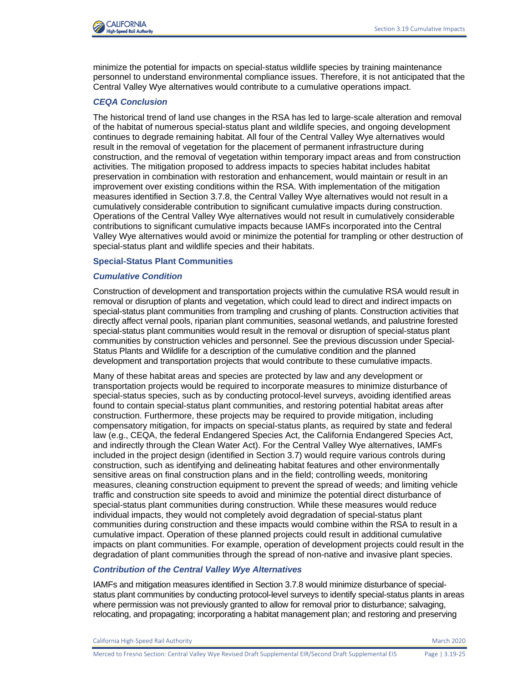

minimize the potential for impacts on special-status wildlife species by training maintenance personnel to understand environmental compliance issues. Therefore, it is not anticipated that the Central Valley Wye alternatives would contribute to a cumulative operations impact.

## *CEQA Conclusion*

The historical trend of land use changes in the RSA has led to large-scale alteration and removal of the habitat of numerous special-status plant and wildlife species, and ongoing development continues to degrade remaining habitat. All four of the Central Valley Wye alternatives would result in the removal of vegetation for the placement of permanent infrastructure during construction, and the removal of vegetation within temporary impact areas and from construction activities. The mitigation proposed to address impacts to species habitat includes habitat preservation in combination with restoration and enhancement, would maintain or result in an improvement over existing conditions within the RSA. With implementation of the mitigation measures identified in Section 3.7.8, the Central Valley Wye alternatives would not result in a cumulatively considerable contribution to significant cumulative impacts during construction. Operations of the Central Valley Wye alternatives would not result in cumulatively considerable contributions to significant cumulative impacts because IAMFs incorporated into the Central Valley Wye alternatives would avoid or minimize the potential for trampling or other destruction of special-status plant and wildlife species and their habitats.

### **Special-Status Plant Communities**

### *Cumulative Condition*

Construction of development and transportation projects within the cumulative RSA would result in removal or disruption of plants and vegetation, which could lead to direct and indirect impacts on special-status plant communities from trampling and crushing of plants. Construction activities that directly affect vernal pools, riparian plant communities, seasonal wetlands, and palustrine forested special-status plant communities would result in the removal or disruption of special-status plant communities by construction vehicles and personnel. See the previous discussion under Special-Status Plants and Wildlife for a description of the cumulative condition and the planned development and transportation projects that would contribute to these cumulative impacts.

Many of these habitat areas and species are protected by law and any development or transportation projects would be required to incorporate measures to minimize disturbance of special-status species, such as by conducting protocol-level surveys, avoiding identified areas found to contain special-status plant communities, and restoring potential habitat areas after construction. Furthermore, these projects may be required to provide mitigation, including compensatory mitigation, for impacts on special-status plants, as required by state and federal law (e.g., CEQA, the federal Endangered Species Act, the California Endangered Species Act, and indirectly through the Clean Water Act). For the Central Valley Wye alternatives, IAMFs included in the project design (identified in Section 3.7) would require various controls during construction, such as identifying and delineating habitat features and other environmentally sensitive areas on final construction plans and in the field; controlling weeds, monitoring measures, cleaning construction equipment to prevent the spread of weeds; and limiting vehicle traffic and construction site speeds to avoid and minimize the potential direct disturbance of special-status plant communities during construction. While these measures would reduce individual impacts, they would not completely avoid degradation of special-status plant communities during construction and these impacts would combine within the RSA to result in a cumulative impact. Operation of these planned projects could result in additional cumulative impacts on plant communities. For example, operation of development projects could result in the degradation of plant communities through the spread of non-native and invasive plant species.

## *Contribution of the Central Valley Wye Alternatives*

IAMFs and mitigation measures identified in Section 3.7.8 would minimize disturbance of specialstatus plant communities by conducting protocol-level surveys to identify special-status plants in areas where permission was not previously granted to allow for removal prior to disturbance; salvaging, relocating, and propagating; incorporating a habitat management plan; and restoring and preserving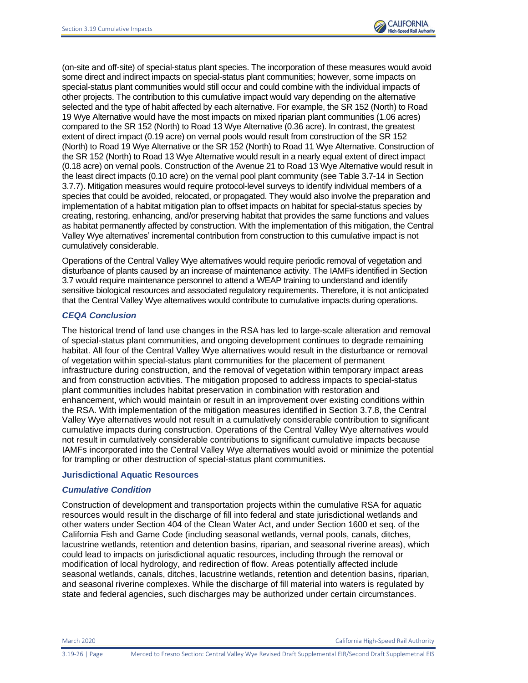

(on-site and off-site) of special-status plant species. The incorporation of these measures would avoid some direct and indirect impacts on special-status plant communities; however, some impacts on special-status plant communities would still occur and could combine with the individual impacts of other projects. The contribution to this cumulative impact would vary depending on the alternative selected and the type of habit affected by each alternative. For example, the SR 152 (North) to Road 19 Wye Alternative would have the most impacts on mixed riparian plant communities (1.06 acres) compared to the SR 152 (North) to Road 13 Wye Alternative (0.36 acre). In contrast, the greatest extent of direct impact (0.19 acre) on vernal pools would result from construction of the SR 152 (North) to Road 19 Wye Alternative or the SR 152 (North) to Road 11 Wye Alternative. Construction of the SR 152 (North) to Road 13 Wye Alternative would result in a nearly equal extent of direct impact (0.18 acre) on vernal pools. Construction of the Avenue 21 to Road 13 Wye Alternative would result in the least direct impacts (0.10 acre) on the vernal pool plant community (see Table 3.7-14 in Section 3.7.7). Mitigation measures would require protocol-level surveys to identify individual members of a species that could be avoided, relocated, or propagated. They would also involve the preparation and implementation of a habitat mitigation plan to offset impacts on habitat for special-status species by creating, restoring, enhancing, and/or preserving habitat that provides the same functions and values as habitat permanently affected by construction. With the implementation of this mitigation, the Central Valley Wye alternatives' incremental contribution from construction to this cumulative impact is not cumulatively considerable.

Operations of the Central Valley Wye alternatives would require periodic removal of vegetation and disturbance of plants caused by an increase of maintenance activity. The IAMFs identified in Section 3.7 would require maintenance personnel to attend a WEAP training to understand and identify sensitive biological resources and associated regulatory requirements. Therefore, it is not anticipated that the Central Valley Wye alternatives would contribute to cumulative impacts during operations.

## *CEQA Conclusion*

The historical trend of land use changes in the RSA has led to large-scale alteration and removal of special-status plant communities, and ongoing development continues to degrade remaining habitat. All four of the Central Valley Wye alternatives would result in the disturbance or removal of vegetation within special-status plant communities for the placement of permanent infrastructure during construction, and the removal of vegetation within temporary impact areas and from construction activities. The mitigation proposed to address impacts to special-status plant communities includes habitat preservation in combination with restoration and enhancement, which would maintain or result in an improvement over existing conditions within the RSA. With implementation of the mitigation measures identified in Section 3.7.8, the Central Valley Wye alternatives would not result in a cumulatively considerable contribution to significant cumulative impacts during construction. Operations of the Central Valley Wye alternatives would not result in cumulatively considerable contributions to significant cumulative impacts because IAMFs incorporated into the Central Valley Wye alternatives would avoid or minimize the potential for trampling or other destruction of special-status plant communities.

#### **Jurisdictional Aquatic Resources**

## *Cumulative Condition*

Construction of development and transportation projects within the cumulative RSA for aquatic resources would result in the discharge of fill into federal and state jurisdictional wetlands and other waters under Section 404 of the Clean Water Act, and under Section 1600 et seq. of the California Fish and Game Code (including seasonal wetlands, vernal pools, canals, ditches, lacustrine wetlands, retention and detention basins, riparian, and seasonal riverine areas), which could lead to impacts on jurisdictional aquatic resources, including through the removal or modification of local hydrology, and redirection of flow. Areas potentially affected include seasonal wetlands, canals, ditches, lacustrine wetlands, retention and detention basins, riparian, and seasonal riverine complexes. While the discharge of fill material into waters is regulated by state and federal agencies, such discharges may be authorized under certain circumstances.

March 2020 California High-Speed Rail Authority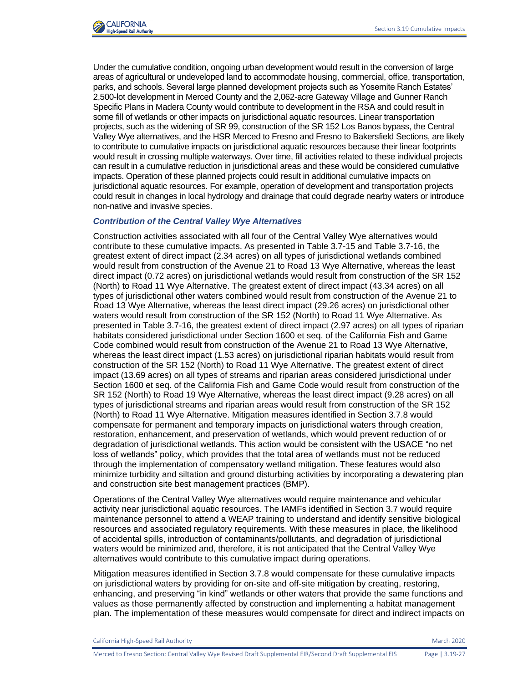

Under the cumulative condition, ongoing urban development would result in the conversion of large areas of agricultural or undeveloped land to accommodate housing, commercial, office, transportation, parks, and schools. Several large planned development projects such as Yosemite Ranch Estates' 2,500-lot development in Merced County and the 2,062-acre Gateway Village and Gunner Ranch Specific Plans in Madera County would contribute to development in the RSA and could result in some fill of wetlands or other impacts on jurisdictional aquatic resources. Linear transportation projects, such as the widening of SR 99, construction of the SR 152 Los Banos bypass, the Central Valley Wye alternatives, and the HSR Merced to Fresno and Fresno to Bakersfield Sections, are likely to contribute to cumulative impacts on jurisdictional aquatic resources because their linear footprints would result in crossing multiple waterways. Over time, fill activities related to these individual projects can result in a cumulative reduction in jurisdictional areas and these would be considered cumulative impacts. Operation of these planned projects could result in additional cumulative impacts on jurisdictional aquatic resources. For example, operation of development and transportation projects could result in changes in local hydrology and drainage that could degrade nearby waters or introduce non-native and invasive species.

### *Contribution of the Central Valley Wye Alternatives*

Construction activities associated with all four of the Central Valley Wye alternatives would contribute to these cumulative impacts. As presented in Table 3.7-15 and Table 3.7-16, the greatest extent of direct impact (2.34 acres) on all types of jurisdictional wetlands combined would result from construction of the Avenue 21 to Road 13 Wye Alternative, whereas the least direct impact (0.72 acres) on jurisdictional wetlands would result from construction of the SR 152 (North) to Road 11 Wye Alternative. The greatest extent of direct impact (43.34 acres) on all types of jurisdictional other waters combined would result from construction of the Avenue 21 to Road 13 Wye Alternative, whereas the least direct impact (29.26 acres) on jurisdictional other waters would result from construction of the SR 152 (North) to Road 11 Wye Alternative. As presented in Table 3.7-16, the greatest extent of direct impact (2.97 acres) on all types of riparian habitats considered jurisdictional under Section 1600 et seq. of the California Fish and Game Code combined would result from construction of the Avenue 21 to Road 13 Wye Alternative, whereas the least direct impact (1.53 acres) on jurisdictional riparian habitats would result from construction of the SR 152 (North) to Road 11 Wye Alternative. The greatest extent of direct impact (13.69 acres) on all types of streams and riparian areas considered jurisdictional under Section 1600 et seq. of the California Fish and Game Code would result from construction of the SR 152 (North) to Road 19 Wye Alternative, whereas the least direct impact (9.28 acres) on all types of jurisdictional streams and riparian areas would result from construction of the SR 152 (North) to Road 11 Wye Alternative. Mitigation measures identified in Section 3.7.8 would compensate for permanent and temporary impacts on jurisdictional waters through creation, restoration, enhancement, and preservation of wetlands, which would prevent reduction of or degradation of jurisdictional wetlands. This action would be consistent with the USACE "no net loss of wetlands" policy, which provides that the total area of wetlands must not be reduced through the implementation of compensatory wetland mitigation. These features would also minimize turbidity and siltation and ground disturbing activities by incorporating a dewatering plan and construction site best management practices (BMP).

Operations of the Central Valley Wye alternatives would require maintenance and vehicular activity near jurisdictional aquatic resources. The IAMFs identified in Section 3.7 would require maintenance personnel to attend a WEAP training to understand and identify sensitive biological resources and associated regulatory requirements. With these measures in place, the likelihood of accidental spills, introduction of contaminants/pollutants, and degradation of jurisdictional waters would be minimized and, therefore, it is not anticipated that the Central Valley Wye alternatives would contribute to this cumulative impact during operations.

Mitigation measures identified in Section 3.7.8 would compensate for these cumulative impacts on jurisdictional waters by providing for on-site and off-site mitigation by creating, restoring, enhancing, and preserving "in kind" wetlands or other waters that provide the same functions and values as those permanently affected by construction and implementing a habitat management plan. The implementation of these measures would compensate for direct and indirect impacts on

California High-Speed Rail Authority March 2020 and Superintent and Superintent Authority March 2020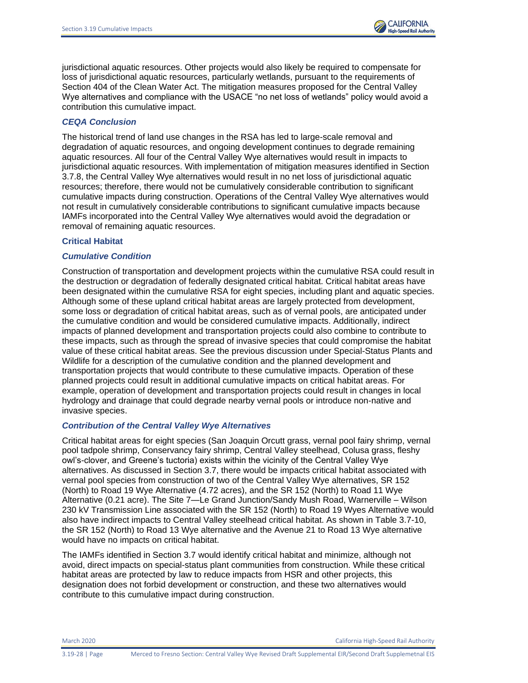jurisdictional aquatic resources. Other projects would also likely be required to compensate for loss of jurisdictional aquatic resources, particularly wetlands, pursuant to the requirements of Section 404 of the Clean Water Act. The mitigation measures proposed for the Central Valley Wye alternatives and compliance with the USACE "no net loss of wetlands" policy would avoid a contribution this cumulative impact.

# *CEQA Conclusion*

The historical trend of land use changes in the RSA has led to large-scale removal and degradation of aquatic resources, and ongoing development continues to degrade remaining aquatic resources. All four of the Central Valley Wye alternatives would result in impacts to jurisdictional aquatic resources. With implementation of mitigation measures identified in Section 3.7.8, the Central Valley Wye alternatives would result in no net loss of jurisdictional aquatic resources; therefore, there would not be cumulatively considerable contribution to significant cumulative impacts during construction. Operations of the Central Valley Wye alternatives would not result in cumulatively considerable contributions to significant cumulative impacts because IAMFs incorporated into the Central Valley Wye alternatives would avoid the degradation or removal of remaining aquatic resources.

## **Critical Habitat**

## *Cumulative Condition*

Construction of transportation and development projects within the cumulative RSA could result in the destruction or degradation of federally designated critical habitat. Critical habitat areas have been designated within the cumulative RSA for eight species, including plant and aquatic species. Although some of these upland critical habitat areas are largely protected from development, some loss or degradation of critical habitat areas, such as of vernal pools, are anticipated under the cumulative condition and would be considered cumulative impacts. Additionally, indirect impacts of planned development and transportation projects could also combine to contribute to these impacts, such as through the spread of invasive species that could compromise the habitat value of these critical habitat areas. See the previous discussion under Special-Status Plants and Wildlife for a description of the cumulative condition and the planned development and transportation projects that would contribute to these cumulative impacts. Operation of these planned projects could result in additional cumulative impacts on critical habitat areas. For example, operation of development and transportation projects could result in changes in local hydrology and drainage that could degrade nearby vernal pools or introduce non-native and invasive species.

## *Contribution of the Central Valley Wye Alternatives*

Critical habitat areas for eight species (San Joaquin Orcutt grass, vernal pool fairy shrimp, vernal pool tadpole shrimp, Conservancy fairy shrimp, Central Valley steelhead, Colusa grass, fleshy owl's-clover, and Greene's tuctoria) exists within the vicinity of the Central Valley Wye alternatives. As discussed in Section 3.7, there would be impacts critical habitat associated with vernal pool species from construction of two of the Central Valley Wye alternatives, SR 152 (North) to Road 19 Wye Alternative (4.72 acres), and the SR 152 (North) to Road 11 Wye Alternative (0.21 acre). The Site 7—Le Grand Junction/Sandy Mush Road, Warnerville – Wilson 230 kV Transmission Line associated with the SR 152 (North) to Road 19 Wyes Alternative would also have indirect impacts to Central Valley steelhead critical habitat. As shown in Table 3.7-10, the SR 152 (North) to Road 13 Wye alternative and the Avenue 21 to Road 13 Wye alternative would have no impacts on critical habitat.

The IAMFs identified in Section 3.7 would identify critical habitat and minimize, although not avoid, direct impacts on special-status plant communities from construction. While these critical habitat areas are protected by law to reduce impacts from HSR and other projects, this designation does not forbid development or construction, and these two alternatives would contribute to this cumulative impact during construction.

March 2020 California High-Speed Rail Authority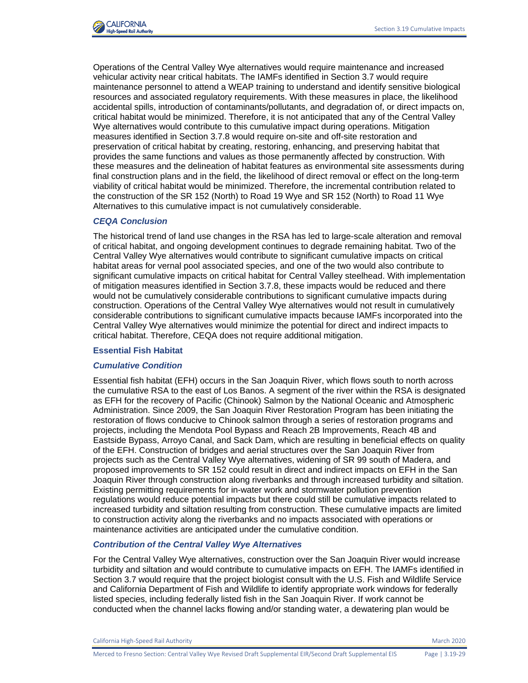

Operations of the Central Valley Wye alternatives would require maintenance and increased vehicular activity near critical habitats. The IAMFs identified in Section 3.7 would require maintenance personnel to attend a WEAP training to understand and identify sensitive biological resources and associated regulatory requirements. With these measures in place, the likelihood accidental spills, introduction of contaminants/pollutants, and degradation of, or direct impacts on, critical habitat would be minimized. Therefore, it is not anticipated that any of the Central Valley Wye alternatives would contribute to this cumulative impact during operations. Mitigation measures identified in Section 3.7.8 would require on-site and off-site restoration and preservation of critical habitat by creating, restoring, enhancing, and preserving habitat that provides the same functions and values as those permanently affected by construction. With these measures and the delineation of habitat features as environmental site assessments during final construction plans and in the field, the likelihood of direct removal or effect on the long-term viability of critical habitat would be minimized. Therefore, the incremental contribution related to the construction of the SR 152 (North) to Road 19 Wye and SR 152 (North) to Road 11 Wye Alternatives to this cumulative impact is not cumulatively considerable.

### *CEQA Conclusion*

The historical trend of land use changes in the RSA has led to large-scale alteration and removal of critical habitat, and ongoing development continues to degrade remaining habitat. Two of the Central Valley Wye alternatives would contribute to significant cumulative impacts on critical habitat areas for vernal pool associated species, and one of the two would also contribute to significant cumulative impacts on critical habitat for Central Valley steelhead. With implementation of mitigation measures identified in Section 3.7.8, these impacts would be reduced and there would not be cumulatively considerable contributions to significant cumulative impacts during construction. Operations of the Central Valley Wye alternatives would not result in cumulatively considerable contributions to significant cumulative impacts because IAMFs incorporated into the Central Valley Wye alternatives would minimize the potential for direct and indirect impacts to critical habitat. Therefore, CEQA does not require additional mitigation.

#### **Essential Fish Habitat**

### *Cumulative Condition*

Essential fish habitat (EFH) occurs in the San Joaquin River, which flows south to north across the cumulative RSA to the east of Los Banos. A segment of the river within the RSA is designated as EFH for the recovery of Pacific (Chinook) Salmon by the National Oceanic and Atmospheric Administration. Since 2009, the San Joaquin River Restoration Program has been initiating the restoration of flows conducive to Chinook salmon through a series of restoration programs and projects, including the Mendota Pool Bypass and Reach 2B Improvements, Reach 4B and Eastside Bypass, Arroyo Canal, and Sack Dam, which are resulting in beneficial effects on quality of the EFH. Construction of bridges and aerial structures over the San Joaquin River from projects such as the Central Valley Wye alternatives, widening of SR 99 south of Madera, and proposed improvements to SR 152 could result in direct and indirect impacts on EFH in the San Joaquin River through construction along riverbanks and through increased turbidity and siltation. Existing permitting requirements for in-water work and stormwater pollution prevention regulations would reduce potential impacts but there could still be cumulative impacts related to increased turbidity and siltation resulting from construction. These cumulative impacts are limited to construction activity along the riverbanks and no impacts associated with operations or maintenance activities are anticipated under the cumulative condition.

# *Contribution of the Central Valley Wye Alternatives*

For the Central Valley Wye alternatives, construction over the San Joaquin River would increase turbidity and siltation and would contribute to cumulative impacts on EFH. The IAMFs identified in Section 3.7 would require that the project biologist consult with the U.S. Fish and Wildlife Service and California Department of Fish and Wildlife to identify appropriate work windows for federally listed species, including federally listed fish in the San Joaquin River. If work cannot be conducted when the channel lacks flowing and/or standing water, a dewatering plan would be

California High-Speed Rail Authority March 2020 and Superintent and Superintent Authority March 2020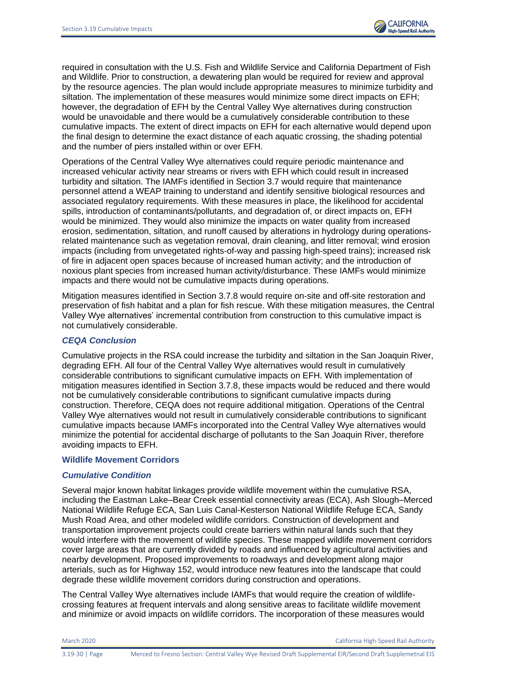required in consultation with the U.S. Fish and Wildlife Service and California Department of Fish and Wildlife. Prior to construction, a dewatering plan would be required for review and approval by the resource agencies. The plan would include appropriate measures to minimize turbidity and siltation. The implementation of these measures would minimize some direct impacts on EFH; however, the degradation of EFH by the Central Valley Wye alternatives during construction would be unavoidable and there would be a cumulatively considerable contribution to these cumulative impacts. The extent of direct impacts on EFH for each alternative would depend upon the final design to determine the exact distance of each aquatic crossing, the shading potential and the number of piers installed within or over EFH.

Operations of the Central Valley Wye alternatives could require periodic maintenance and increased vehicular activity near streams or rivers with EFH which could result in increased turbidity and siltation. The IAMFs identified in Section 3.7 would require that maintenance personnel attend a WEAP training to understand and identify sensitive biological resources and associated regulatory requirements. With these measures in place, the likelihood for accidental spills, introduction of contaminants/pollutants, and degradation of, or direct impacts on, EFH would be minimized. They would also minimize the impacts on water quality from increased erosion, sedimentation, siltation, and runoff caused by alterations in hydrology during operationsrelated maintenance such as vegetation removal, drain cleaning, and litter removal; wind erosion impacts (including from unvegetated rights-of-way and passing high-speed trains); increased risk of fire in adjacent open spaces because of increased human activity; and the introduction of noxious plant species from increased human activity/disturbance. These IAMFs would minimize impacts and there would not be cumulative impacts during operations.

Mitigation measures identified in Section 3.7.8 would require on-site and off-site restoration and preservation of fish habitat and a plan for fish rescue. With these mitigation measures, the Central Valley Wye alternatives' incremental contribution from construction to this cumulative impact is not cumulatively considerable.

## *CEQA Conclusion*

Cumulative projects in the RSA could increase the turbidity and siltation in the San Joaquin River, degrading EFH. All four of the Central Valley Wye alternatives would result in cumulatively considerable contributions to significant cumulative impacts on EFH. With implementation of mitigation measures identified in Section 3.7.8, these impacts would be reduced and there would not be cumulatively considerable contributions to significant cumulative impacts during construction. Therefore, CEQA does not require additional mitigation. Operations of the Central Valley Wye alternatives would not result in cumulatively considerable contributions to significant cumulative impacts because IAMFs incorporated into the Central Valley Wye alternatives would minimize the potential for accidental discharge of pollutants to the San Joaquin River, therefore avoiding impacts to EFH.

#### **Wildlife Movement Corridors**

## *Cumulative Condition*

Several major known habitat linkages provide wildlife movement within the cumulative RSA, including the Eastman Lake–Bear Creek essential connectivity areas (ECA), Ash Slough–Merced National Wildlife Refuge ECA, San Luis Canal-Kesterson National Wildlife Refuge ECA, Sandy Mush Road Area, and other modeled wildlife corridors. Construction of development and transportation improvement projects could create barriers within natural lands such that they would interfere with the movement of wildlife species. These mapped wildlife movement corridors cover large areas that are currently divided by roads and influenced by agricultural activities and nearby development. Proposed improvements to roadways and development along major arterials, such as for Highway 152, would introduce new features into the landscape that could degrade these wildlife movement corridors during construction and operations.

The Central Valley Wye alternatives include IAMFs that would require the creation of wildlifecrossing features at frequent intervals and along sensitive areas to facilitate wildlife movement and minimize or avoid impacts on wildlife corridors. The incorporation of these measures would